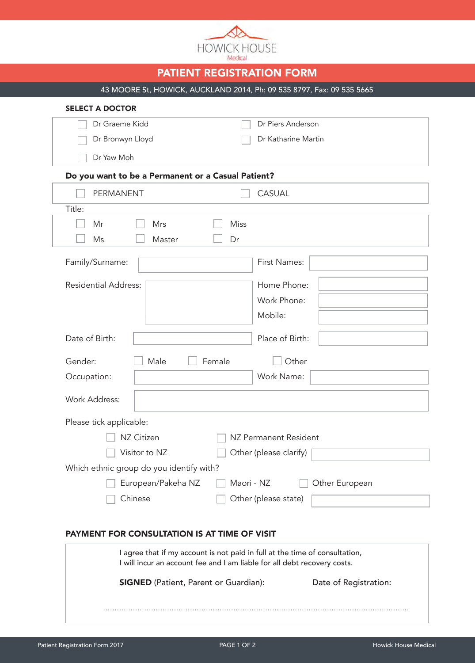

# PATIENT REGISTRATION FORM

43 MOORE St, HOWICK, AUCKLAND 2014, Ph: 09 535 8797, Fax: 09 535 5665

| <b>SELECT A DOCTOR</b>                             |                      |  |  |
|----------------------------------------------------|----------------------|--|--|
| Dr Graeme Kidd                                     | Dr Piers Anderson    |  |  |
| Dr Bronwyn Lloyd                                   | Dr Katharine Martin  |  |  |
| Dr Yaw Moh                                         |                      |  |  |
| Do you want to be a Permanent or a Casual Patient? |                      |  |  |
| PERMANENT                                          | <b>CASUAL</b>        |  |  |
| Title:                                             |                      |  |  |
| Mrs<br>Mr                                          | Miss                 |  |  |
| Ms<br>Master                                       | Dr                   |  |  |
| Family/Surname:                                    | First Names:         |  |  |
| <b>Residential Address:</b>                        | Home Phone:          |  |  |
|                                                    | Work Phone:          |  |  |
|                                                    | Mobile:              |  |  |
| Date of Birth:                                     | Place of Birth:      |  |  |
| Gender:<br>Male                                    | Female<br>Other      |  |  |
| Occupation:                                        | Work Name:           |  |  |
| <b>Work Address:</b>                               |                      |  |  |
| Please tick applicable:                            |                      |  |  |
| NZ Citizen<br>NZ Permanent Resident                |                      |  |  |
| Visitor to NZ<br>Other (please clarify)            |                      |  |  |
| Which ethnic group do you identify with?           |                      |  |  |
| European/Pakeha NZ<br>Other European<br>Maori - NZ |                      |  |  |
| Chinese                                            | Other (please state) |  |  |
|                                                    |                      |  |  |

#### PAYMENT FOR CONSULTATION IS AT TIME OF VISIT

| I agree that if my account is not paid in full at the time of consultation,<br>I will incur an account fee and I am liable for all debt recovery costs. |                       |  |
|---------------------------------------------------------------------------------------------------------------------------------------------------------|-----------------------|--|
| <b>SIGNED</b> (Patient, Parent or Guardian):                                                                                                            | Date of Registration: |  |
|                                                                                                                                                         |                       |  |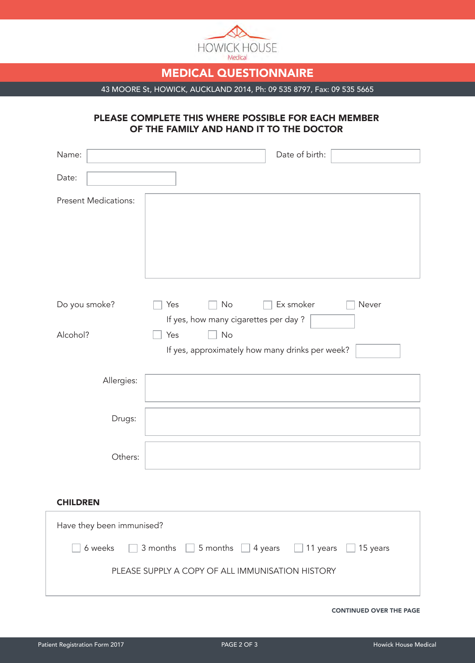

# MEDICAL QUESTIONNAIRE

43 MOORE St, HOWICK, AUCKLAND 2014, Ph: 09 535 8797, Fax: 09 535 5665

#### PLEASE COMPLETE THIS WHERE POSSIBLE FOR EACH MEMBER OF THE FAMILY AND HAND IT TO THE DOCTOR

| Name:                                                                                    | Date of birth:                                  |  |
|------------------------------------------------------------------------------------------|-------------------------------------------------|--|
| Date:                                                                                    |                                                 |  |
| <b>Present Medications:</b>                                                              |                                                 |  |
|                                                                                          |                                                 |  |
|                                                                                          |                                                 |  |
|                                                                                          |                                                 |  |
|                                                                                          |                                                 |  |
| Do you smoke?                                                                            | Ex smoker<br>No<br>Never<br>Yes                 |  |
|                                                                                          | If yes, how many cigarettes per day?            |  |
| Alcohol?                                                                                 | Yes<br><b>No</b>                                |  |
|                                                                                          | If yes, approximately how many drinks per week? |  |
| Allergies:                                                                               |                                                 |  |
|                                                                                          |                                                 |  |
| Drugs:                                                                                   |                                                 |  |
|                                                                                          |                                                 |  |
| Others:                                                                                  |                                                 |  |
|                                                                                          |                                                 |  |
| <b>CHILDREN</b>                                                                          |                                                 |  |
| Have they been immunised?                                                                |                                                 |  |
| 6 weeks<br>3 months $\Box$ 5 months $\Box$ 4 years<br>$\Box$ 11 years<br>$\Box$ 15 years |                                                 |  |
|                                                                                          |                                                 |  |
| PLEASE SUPPLY A COPY OF ALL IMMUNISATION HISTORY                                         |                                                 |  |
|                                                                                          |                                                 |  |

CONTINUED OVER THE PAGE